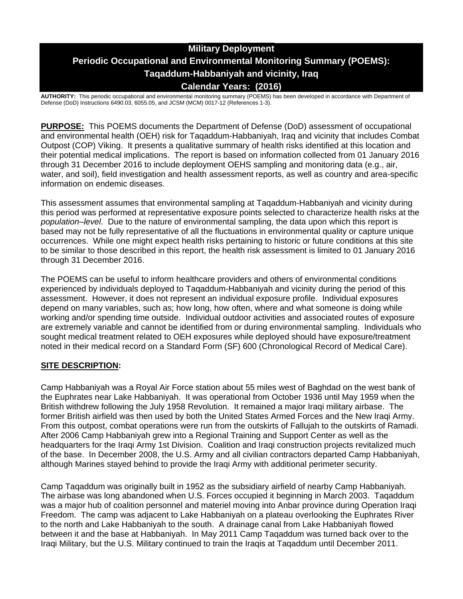# **Military Deployment Periodic Occupational and Environmental Monitoring Summary (POEMS): Taqaddum-Habbaniyah and vicinity, Iraq Calendar Years: (2016)**

**AUTHORITY:** This periodic occupational and environmental monitoring summary (POEMS) has been developed in accordance with Department of Defense (DoD) Instructions 6490.03, 6055.05, and JCSM (MCM) 0017-12 (References 1-3).

**PURPOSE:** This POEMS documents the Department of Defense (DoD) assessment of occupational and environmental health (OEH) risk for Taqaddum-Habbaniyah, Iraq and vicinity that includes Combat Outpost (COP) Viking. It presents a qualitative summary of health risks identified at this location and their potential medical implications. The report is based on information collected from 01 January 2016 through 31 December 2016 to include deployment OEHS sampling and monitoring data (e.g., air, water, and soil), field investigation and health assessment reports, as well as country and area-specific information on endemic diseases.

This assessment assumes that environmental sampling at Taqaddum-Habbaniyah and vicinity during this period was performed at representative exposure points selected to characterize health risks at the *population–level*. Due to the nature of environmental sampling, the data upon which this report is based may not be fully representative of all the fluctuations in environmental quality or capture unique occurrences. While one might expect health risks pertaining to historic or future conditions at this site to be similar to those described in this report, the health risk assessment is limited to 01 January 2016 through 31 December 2016.

The POEMS can be useful to inform healthcare providers and others of environmental conditions experienced by individuals deployed to Taqaddum-Habbaniyah and vicinity during the period of this assessment. However, it does not represent an individual exposure profile. Individual exposures depend on many variables, such as; how long, how often, where and what someone is doing while working and/or spending time outside. Individual outdoor activities and associated routes of exposure are extremely variable and cannot be identified from or during environmental sampling. Individuals who sought medical treatment related to OEH exposures while deployed should have exposure/treatment noted in their medical record on a Standard Form (SF) 600 (Chronological Record of Medical Care).

## **SITE DESCRIPTION:**

Camp Habbaniyah was a Royal Air Force station about 55 miles west of Baghdad on the west bank of the Euphrates near Lake Habbaniyah. It was operational from October 1936 until May 1959 when the British withdrew following the July 1958 Revolution. It remained a major Iraqi military airbase. The former British airfield was then used by both the United States Armed Forces and the New Iraqi Army. From this outpost, combat operations were run from the outskirts of Fallujah to the outskirts of Ramadi. After 2006 Camp Habbaniyah grew into a Regional Training and Support Center as well as the headquarters for the Iraqi Army 1st Division. Coalition and Iraqi construction projects revitalized much of the base. In December 2008, the U.S. Army and all civilian contractors departed Camp Habbaniyah, although Marines stayed behind to provide the Iraqi Army with additional perimeter security.

Camp Taqaddum was originally built in 1952 as the subsidiary airfield of nearby Camp Habbaniyah. The airbase was long abandoned when U.S. Forces occupied it beginning in March 2003. Taqaddum was a major hub of coalition personnel and materiel moving into Anbar province during Operation Iraqi Freedom. The camp was adjacent to Lake Habbaniyah on a plateau overlooking the Euphrates River to the north and Lake Habbaniyah to the south. A drainage canal from Lake Habbaniyah flowed between it and the base at Habbaniyah. In May 2011 Camp Taqaddum was turned back over to the Iraqi Military, but the U.S. Military continued to train the Iraqis at Taqaddum until December 2011.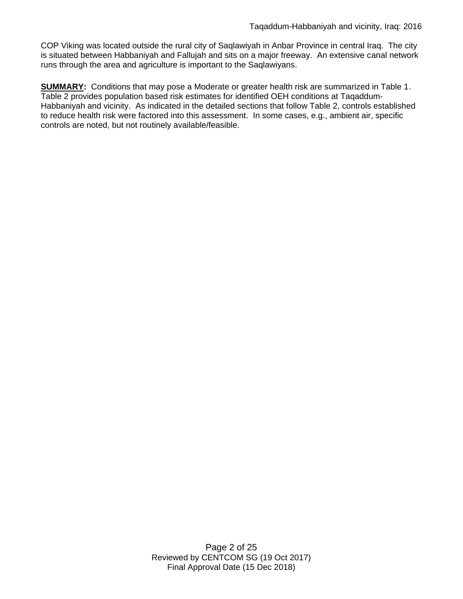COP Viking was located outside the rural city of Saqlawiyah in Anbar Province in central Iraq. The city is situated between Habbaniyah and Fallujah and sits on a major freeway. An extensive canal network runs through the area and agriculture is important to the Saqlawiyans.

**SUMMARY:** Conditions that may pose a Moderate or greater health risk are summarized in Table 1. Table 2 provides population based risk estimates for identified OEH conditions at Taqaddum-Habbaniyah and vicinity. As indicated in the detailed sections that follow Table 2, controls established to reduce health risk were factored into this assessment. In some cases, e.g., ambient air, specific controls are noted, but not routinely available/feasible.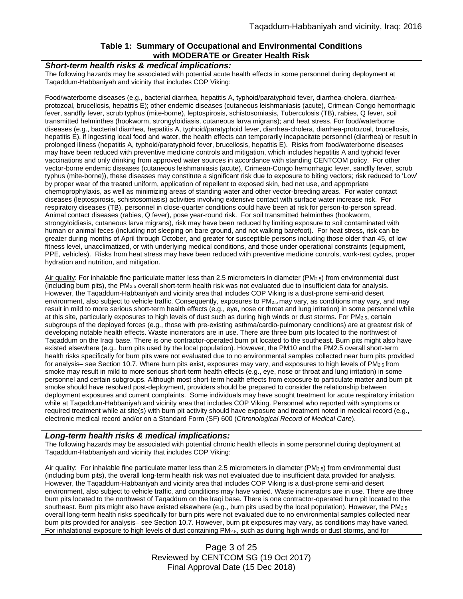### **Table 1: Summary of Occupational and Environmental Conditions with MODERATE or Greater Health Risk**

#### *Short-term health risks & medical implications:*

The following hazards may be associated with potential acute health effects in some personnel during deployment at Taqaddum-Habbaniyah and vicinity that includes COP Viking:

Food/waterborne diseases (e.g., bacterial diarrhea, hepatitis A, typhoid/paratyphoid fever, diarrhea-cholera, diarrheaprotozoal, brucellosis, hepatitis E); other endemic diseases (cutaneous leishmaniasis (acute), Crimean-Congo hemorrhagic fever, sandfly fever, scrub typhus (mite-borne), leptospirosis, schistosomiasis, Tuberculosis (TB), rabies, Q fever, soil transmitted helminthes (hookworm, strongyloidiasis, cutaneous larva migrans); and heat stress. For food/waterborne diseases (e.g., bacterial diarrhea, hepatitis A, typhoid/paratyphoid fever, diarrhea-cholera, diarrhea-protozoal, brucellosis, hepatitis E), if ingesting local food and water, the health effects can temporarily incapacitate personnel (diarrhea) or result in prolonged illness (hepatitis A, typhoid/paratyphoid fever, brucellosis, hepatitis E). Risks from food/waterborne diseases may have been reduced with preventive medicine controls and mitigation, which includes hepatitis A and typhoid fever vaccinations and only drinking from approved water sources in accordance with standing CENTCOM policy. For other vector-borne endemic diseases (cutaneous leishmaniasis (acute), Crimean-Congo hemorrhagic fever, sandfly fever, scrub typhus (mite-borne)), these diseases may constitute a significant risk due to exposure to biting vectors; risk reduced to 'Low' by proper wear of the treated uniform, application of repellent to exposed skin, bed net use, and appropriate chemoprophylaxis, as well as minimizing areas of standing water and other vector-breeding areas. For water contact diseases (leptospirosis, schistosomiasis) activities involving extensive contact with surface water increase risk. For respiratory diseases (TB), personnel in close-quarter conditions could have been at risk for person-to-person spread. Animal contact diseases (rabies, Q fever), pose year-round risk. For soil transmitted helminthes (hookworm, strongyloidiasis, cutaneous larva migrans), risk may have been reduced by limiting exposure to soil contaminated with human or animal feces (including not sleeping on bare ground, and not walking barefoot). For heat stress, risk can be greater during months of April through October, and greater for susceptible persons including those older than 45, of low fitness level, unacclimatized, or with underlying medical conditions, and those under operational constraints (equipment, PPE, vehicles). Risks from heat stress may have been reduced with preventive medicine controls, work-rest cycles, proper hydration and nutrition, and mitigation.

Air quality: For inhalable fine particulate matter less than 2.5 micrometers in diameter (PM<sub>2.5</sub>) from environmental dust (including burn pits), the PM<sub>2.5</sub> overall short-term health risk was not evaluated due to insufficient data for analysis. However, the Taqaddum-Habbaniyah and vicinity area that includes COP Viking is a dust-prone semi-arid desert environment, also subject to vehicle traffic. Consequently, exposures to  $PM_{2.5}$  may vary, as conditions may vary, and may result in mild to more serious short-term health effects (e.g., eye, nose or throat and lung irritation) in some personnel while at this site, particularly exposures to high levels of dust such as during high winds or dust storms. For PM2.5, certain subgroups of the deployed forces (e.g., those with pre-existing asthma/cardio-pulmonary conditions) are at greatest risk of developing notable health effects. Waste incinerators are in use. There are three burn pits located to the northwest of Taqaddum on the Iraqi base. There is one contractor-operated burn pit located to the southeast. Burn pits might also have existed elsewhere (e.g., burn pits used by the local population). However, the PM10 and the PM2.5 overall short-term health risks specifically for burn pits were not evaluated due to no environmental samples collected near burn pits provided for analysis– see Section 10.7. Where burn pits exist, exposures may vary, and exposures to high levels of PM<sub>2.5</sub> from smoke may result in mild to more serious short-term health effects (e.g., eye, nose or throat and lung irritation) in some personnel and certain subgroups. Although most short-term health effects from exposure to particulate matter and burn pit smoke should have resolved post-deployment, providers should be prepared to consider the relationship between deployment exposures and current complaints. Some individuals may have sought treatment for acute respiratory irritation while at Taqaddum-Habbaniyah and vicinity area that includes COP Viking. Personnel who reported with symptoms or required treatment while at site(s) with burn pit activity should have exposure and treatment noted in medical record (e.g., electronic medical record and/or on a Standard Form (SF) 600 (*Chronological Record of Medical Care*).

#### *Long-term health risks & medical implications:*

The following hazards may be associated with potential chronic health effects in some personnel during deployment at Taqaddum-Habbaniyah and vicinity that includes COP Viking:

Air quality: For inhalable fine particulate matter less than 2.5 micrometers in diameter (PM<sub>2.5</sub>) from environmental dust (including burn pits), the overall long-term health risk was not evaluated due to insufficient data provided for analysis. However, the Taqaddum-Habbaniyah and vicinity area that includes COP Viking is a dust-prone semi-arid desert environment, also subject to vehicle traffic, and conditions may have varied. Waste incinerators are in use. There are three burn pits located to the northwest of Taqaddum on the Iraqi base. There is one contractor-operated burn pit located to the southeast. Burn pits might also have existed elsewhere (e.g., burn pits used by the local population). However, the PM<sub>2.5</sub> overall long-term health risks specifically for burn pits were not evaluated due to no environmental samples collected near burn pits provided for analysis– see Section 10.7. However, burn pit exposures may vary, as conditions may have varied. For inhalational exposure to high levels of dust containing  $PM_{2.5}$ , such as during high winds or dust storms, and for

> Page 3 of 25 Reviewed by CENTCOM SG (19 Oct 2017) Final Approval Date (15 Dec 2018)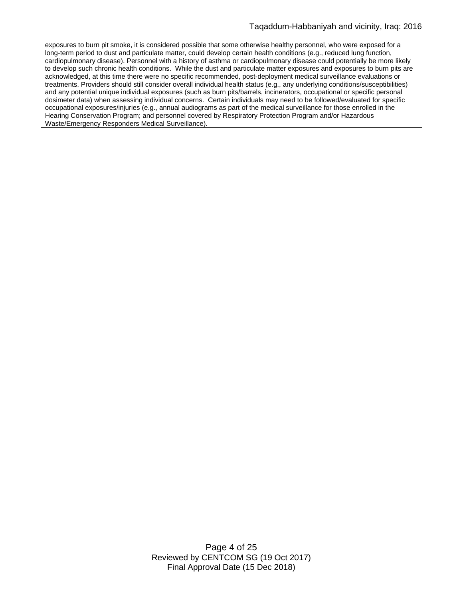exposures to burn pit smoke, it is considered possible that some otherwise healthy personnel, who were exposed for a long-term period to dust and particulate matter, could develop certain health conditions (e.g., reduced lung function, cardiopulmonary disease). Personnel with a history of asthma or cardiopulmonary disease could potentially be more likely to develop such chronic health conditions. While the dust and particulate matter exposures and exposures to burn pits are acknowledged, at this time there were no specific recommended, post-deployment medical surveillance evaluations or treatments. Providers should still consider overall individual health status (e.g., any underlying conditions/susceptibilities) and any potential unique individual exposures (such as burn pits/barrels, incinerators, occupational or specific personal dosimeter data) when assessing individual concerns. Certain individuals may need to be followed/evaluated for specific occupational exposures/injuries (e.g., annual audiograms as part of the medical surveillance for those enrolled in the Hearing Conservation Program; and personnel covered by Respiratory Protection Program and/or Hazardous Waste/Emergency Responders Medical Surveillance).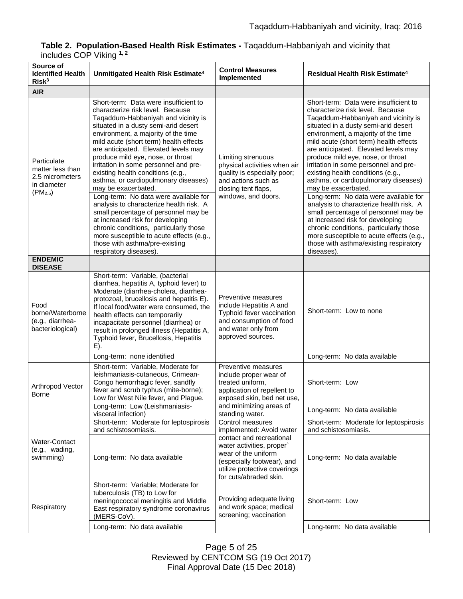## **Table 2. Population-Based Health Risk Estimates -** Taqaddum-Habbaniyah and vicinity that includes COP Viking **1, 2**

| Source of<br><b>Identified Health</b><br>Risk <sup>3</sup>                                | Unmitigated Health Risk Estimate <sup>4</sup>                                                                                                                                                                                                                                                                                                                                                                                                                       | <b>Control Measures</b><br>Implemented                                                                                                                                                                               | <b>Residual Health Risk Estimate<sup>4</sup></b>                                                                                                                                                                                                                                                                                                                                                                                                                    |
|-------------------------------------------------------------------------------------------|---------------------------------------------------------------------------------------------------------------------------------------------------------------------------------------------------------------------------------------------------------------------------------------------------------------------------------------------------------------------------------------------------------------------------------------------------------------------|----------------------------------------------------------------------------------------------------------------------------------------------------------------------------------------------------------------------|---------------------------------------------------------------------------------------------------------------------------------------------------------------------------------------------------------------------------------------------------------------------------------------------------------------------------------------------------------------------------------------------------------------------------------------------------------------------|
| <b>AIR</b>                                                                                |                                                                                                                                                                                                                                                                                                                                                                                                                                                                     |                                                                                                                                                                                                                      |                                                                                                                                                                                                                                                                                                                                                                                                                                                                     |
| Particulate<br>matter less than<br>2.5 micrometers<br>in diameter<br>(PM <sub>2.5</sub> ) | Short-term: Data were insufficient to<br>characterize risk level. Because<br>Taqaddum-Habbaniyah and vicinity is<br>situated in a dusty semi-arid desert<br>environment, a majority of the time<br>mild acute (short term) health effects<br>are anticipated. Elevated levels may<br>produce mild eye, nose, or throat<br>irritation in some personnel and pre-<br>existing health conditions (e.g.,<br>asthma, or cardiopulmonary diseases)<br>may be exacerbated. | Limiting strenuous<br>physical activities when air<br>quality is especially poor;<br>and actions such as<br>closing tent flaps,<br>windows, and doors.                                                               | Short-term: Data were insufficient to<br>characterize risk level. Because<br>Taqaddum-Habbaniyah and vicinity is<br>situated in a dusty semi-arid desert<br>environment, a majority of the time<br>mild acute (short term) health effects<br>are anticipated. Elevated levels may<br>produce mild eye, nose, or throat<br>irritation in some personnel and pre-<br>existing health conditions (e.g.,<br>asthma, or cardiopulmonary diseases)<br>may be exacerbated. |
|                                                                                           | Long-term: No data were available for<br>analysis to characterize health risk. A<br>small percentage of personnel may be<br>at increased risk for developing<br>chronic conditions, particularly those<br>more susceptible to acute effects (e.g.,<br>those with asthma/pre-existing<br>respiratory diseases).                                                                                                                                                      |                                                                                                                                                                                                                      | Long-term: No data were available for<br>analysis to characterize health risk. A<br>small percentage of personnel may be<br>at increased risk for developing<br>chronic conditions, particularly those<br>more susceptible to acute effects (e.g.,<br>those with asthma/existing respiratory<br>diseases).                                                                                                                                                          |
| <b>ENDEMIC</b><br><b>DISEASE</b>                                                          |                                                                                                                                                                                                                                                                                                                                                                                                                                                                     |                                                                                                                                                                                                                      |                                                                                                                                                                                                                                                                                                                                                                                                                                                                     |
| Food<br>borne/Waterborne<br>(e.g., diarrhea-<br>bacteriological)                          | Short-term: Variable, (bacterial<br>diarrhea, hepatitis A, typhoid fever) to<br>Moderate (diarrhea-cholera, diarrhea-<br>protozoal, brucellosis and hepatitis E).<br>If local food/water were consumed, the<br>health effects can temporarily<br>incapacitate personnel (diarrhea) or<br>result in prolonged illness (Hepatitis A,<br>Typhoid fever, Brucellosis, Hepatitis<br>E).                                                                                  | Preventive measures<br>include Hepatitis A and<br>Typhoid fever vaccination<br>and consumption of food<br>and water only from<br>approved sources.                                                                   | Short-term: Low to none                                                                                                                                                                                                                                                                                                                                                                                                                                             |
|                                                                                           | Long-term: none identified                                                                                                                                                                                                                                                                                                                                                                                                                                          |                                                                                                                                                                                                                      | Long-term: No data available                                                                                                                                                                                                                                                                                                                                                                                                                                        |
| Arthropod Vector<br>Borne                                                                 | Short-term: Variable, Moderate for<br>leishmaniasis-cutaneous, Crimean-<br>Congo hemorrhagic fever, sandfly<br>fever and scrub typhus (mite-borne);<br>Low for West Nile fever, and Plague.                                                                                                                                                                                                                                                                         | Preventive measures<br>include proper wear of<br>treated uniform,<br>application of repellent to<br>exposed skin, bed net use.<br>and minimizing areas of<br>standing water.                                         | Short-term: Low                                                                                                                                                                                                                                                                                                                                                                                                                                                     |
|                                                                                           | Long-term: Low (Leishmaniasis-<br>visceral infection)                                                                                                                                                                                                                                                                                                                                                                                                               |                                                                                                                                                                                                                      | Long-term: No data available                                                                                                                                                                                                                                                                                                                                                                                                                                        |
| Water-Contact<br>(e.g., wading,<br>swimming)                                              | Short-term: Moderate for leptospirosis<br>and schistosomiasis.                                                                                                                                                                                                                                                                                                                                                                                                      | Control measures<br>implemented: Avoid water<br>contact and recreational<br>water activities, proper`<br>wear of the uniform<br>(especially footwear), and<br>utilize protective coverings<br>for cuts/abraded skin. | Short-term: Moderate for leptospirosis<br>and schistosomiasis.                                                                                                                                                                                                                                                                                                                                                                                                      |
|                                                                                           | Long-term: No data available                                                                                                                                                                                                                                                                                                                                                                                                                                        |                                                                                                                                                                                                                      | Long-term: No data available                                                                                                                                                                                                                                                                                                                                                                                                                                        |
| Respiratory                                                                               | Short-term: Variable; Moderate for<br>tuberculosis (TB) to Low for<br>meningococcal meningitis and Middle<br>East respiratory syndrome coronavirus<br>(MERS-CoV).                                                                                                                                                                                                                                                                                                   | Providing adequate living<br>and work space; medical<br>screening; vaccination                                                                                                                                       | Short-term: Low                                                                                                                                                                                                                                                                                                                                                                                                                                                     |
|                                                                                           | Long-term: No data available                                                                                                                                                                                                                                                                                                                                                                                                                                        |                                                                                                                                                                                                                      | Long-term: No data available                                                                                                                                                                                                                                                                                                                                                                                                                                        |

Page 5 of 25 Reviewed by CENTCOM SG (19 Oct 2017) Final Approval Date (15 Dec 2018)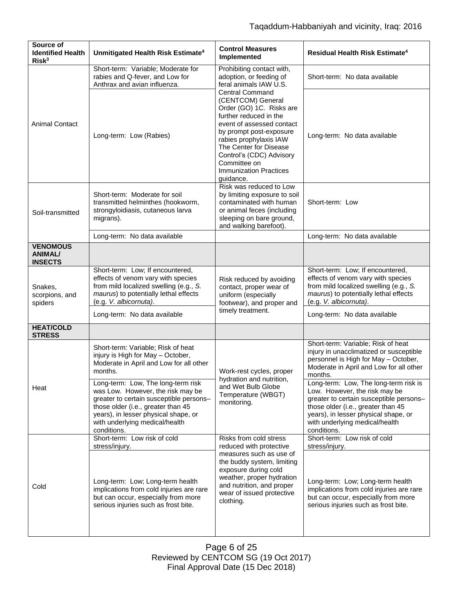| Source of<br><b>Identified Health</b><br>Risk <sup>3</sup> | Unmitigated Health Risk Estimate <sup>4</sup>                                                                                                                                                                                                     | <b>Control Measures</b><br>Implemented                                                                                                                                                                                                                                                                                                                                                    | <b>Residual Health Risk Estimate<sup>4</sup></b>                                                                                                                                                                                                 |
|------------------------------------------------------------|---------------------------------------------------------------------------------------------------------------------------------------------------------------------------------------------------------------------------------------------------|-------------------------------------------------------------------------------------------------------------------------------------------------------------------------------------------------------------------------------------------------------------------------------------------------------------------------------------------------------------------------------------------|--------------------------------------------------------------------------------------------------------------------------------------------------------------------------------------------------------------------------------------------------|
| <b>Animal Contact</b>                                      | Short-term: Variable; Moderate for<br>rabies and Q-fever, and Low for<br>Anthrax and avian influenza.                                                                                                                                             | Prohibiting contact with,<br>adoption, or feeding of<br>feral animals IAW U.S.<br><b>Central Command</b><br>(CENTCOM) General<br>Order (GO) 1C. Risks are<br>further reduced in the<br>event of assessed contact<br>by prompt post-exposure<br>rabies prophylaxis IAW<br>The Center for Disease<br>Control's (CDC) Advisory<br>Committee on<br><b>Immunization Practices</b><br>guidance. | Short-term: No data available                                                                                                                                                                                                                    |
|                                                            | Long-term: Low (Rabies)                                                                                                                                                                                                                           |                                                                                                                                                                                                                                                                                                                                                                                           | Long-term: No data available                                                                                                                                                                                                                     |
| Soil-transmitted                                           | Short-term: Moderate for soil<br>transmitted helminthes (hookworm,<br>strongyloidiasis, cutaneous larva<br>migrans).                                                                                                                              | Risk was reduced to Low<br>by limiting exposure to soil<br>contaminated with human<br>or animal feces (including<br>sleeping on bare ground,<br>and walking barefoot).                                                                                                                                                                                                                    | Short-term: Low                                                                                                                                                                                                                                  |
|                                                            | Long-term: No data available                                                                                                                                                                                                                      |                                                                                                                                                                                                                                                                                                                                                                                           | Long-term: No data available                                                                                                                                                                                                                     |
| <b>VENOMOUS</b><br><b>ANIMAL/</b><br><b>INSECTS</b>        |                                                                                                                                                                                                                                                   |                                                                                                                                                                                                                                                                                                                                                                                           |                                                                                                                                                                                                                                                  |
| Snakes,<br>scorpions, and<br>spiders                       | Short-term: Low; If encountered,<br>effects of venom vary with species<br>from mild localized swelling (e.g., S.<br>maurus) to potentially lethal effects<br>(e.g. V. albicornuta).                                                               | Risk reduced by avoiding<br>contact, proper wear of<br>uniform (especially<br>footwear), and proper and<br>timely treatment.                                                                                                                                                                                                                                                              | Short-term: Low; If encountered,<br>effects of venom vary with species<br>from mild localized swelling (e.g., S.<br>maurus) to potentially lethal effects<br>(e.g. V. albicornuta).                                                              |
|                                                            | Long-term: No data available                                                                                                                                                                                                                      |                                                                                                                                                                                                                                                                                                                                                                                           | Long-term: No data available                                                                                                                                                                                                                     |
| <b>HEAT/COLD</b><br><b>STRESS</b>                          |                                                                                                                                                                                                                                                   |                                                                                                                                                                                                                                                                                                                                                                                           |                                                                                                                                                                                                                                                  |
| Heat                                                       | Short-term: Variable; Risk of heat<br>injury is High for May - October,<br>Moderate in April and Low for all other<br>months.                                                                                                                     | Work-rest cycles, proper<br>hydration and nutrition,<br>and Wet Bulb Globe<br>Temperature (WBGT)<br>monitoring.                                                                                                                                                                                                                                                                           | Short-term: Variable; Risk of heat<br>injury in unacclimatized or susceptible<br>personnel is High for May - October,<br>Moderate in April and Low for all other<br>months.                                                                      |
|                                                            | Long-term: Low, The long-term risk<br>was Low. However, the risk may be<br>greater to certain susceptible persons-<br>those older (i.e., greater than 45<br>years), in lesser physical shape, or<br>with underlying medical/health<br>conditions. |                                                                                                                                                                                                                                                                                                                                                                                           | Long-term: Low, The long-term risk is<br>Low. However, the risk may be<br>greater to certain susceptible persons-<br>those older (i.e., greater than 45<br>years), in lesser physical shape, or<br>with underlying medical/health<br>conditions. |
|                                                            | Short-term: Low risk of cold<br>stress/injury.                                                                                                                                                                                                    | Risks from cold stress<br>reduced with protective                                                                                                                                                                                                                                                                                                                                         | Short-term: Low risk of cold<br>stress/injury.                                                                                                                                                                                                   |
| Cold                                                       | Long-term: Low; Long-term health<br>implications from cold injuries are rare<br>but can occur, especially from more<br>serious injuries such as frost bite.                                                                                       | measures such as use of<br>the buddy system, limiting<br>exposure during cold<br>weather, proper hydration<br>and nutrition, and proper<br>wear of issued protective<br>clothing.                                                                                                                                                                                                         | Long-term: Low; Long-term health<br>implications from cold injuries are rare<br>but can occur, especially from more<br>serious injuries such as frost bite.                                                                                      |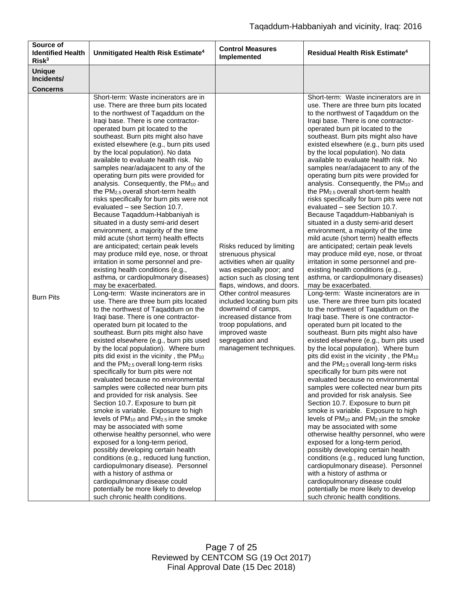| Source of<br><b>Identified Health</b><br>Risk <sup>3</sup> | Unmitigated Health Risk Estimate <sup>4</sup>                                                                                                                                                                                                                                                                                                                                                                                                                                                                                                                                                                                                                                                                                                                                                                                                                                                                                                                                                                                                                                                                                                                                                                                                                                                                                                                                                                                                                                                                                                                                                                                                                                                                                                                                                                                                                                                                                                                                                                                                                                                                                        | <b>Control Measures</b><br>Implemented                                                                                                                                                                                                                                                                                                                                     | Residual Health Risk Estimate <sup>4</sup>                                                                                                                                                                                                                                                                                                                                                                                                                                                                                                                                                                                                                                                                                                                                                                                                                                                                                                                                                                                                                                                                                                                                                                                                                                                                                                                                                                                                                                                                                                                                                                                                                                                                                                                                                                                                                                                                                                                                                                                                                                                                                                                     |
|------------------------------------------------------------|--------------------------------------------------------------------------------------------------------------------------------------------------------------------------------------------------------------------------------------------------------------------------------------------------------------------------------------------------------------------------------------------------------------------------------------------------------------------------------------------------------------------------------------------------------------------------------------------------------------------------------------------------------------------------------------------------------------------------------------------------------------------------------------------------------------------------------------------------------------------------------------------------------------------------------------------------------------------------------------------------------------------------------------------------------------------------------------------------------------------------------------------------------------------------------------------------------------------------------------------------------------------------------------------------------------------------------------------------------------------------------------------------------------------------------------------------------------------------------------------------------------------------------------------------------------------------------------------------------------------------------------------------------------------------------------------------------------------------------------------------------------------------------------------------------------------------------------------------------------------------------------------------------------------------------------------------------------------------------------------------------------------------------------------------------------------------------------------------------------------------------------|----------------------------------------------------------------------------------------------------------------------------------------------------------------------------------------------------------------------------------------------------------------------------------------------------------------------------------------------------------------------------|----------------------------------------------------------------------------------------------------------------------------------------------------------------------------------------------------------------------------------------------------------------------------------------------------------------------------------------------------------------------------------------------------------------------------------------------------------------------------------------------------------------------------------------------------------------------------------------------------------------------------------------------------------------------------------------------------------------------------------------------------------------------------------------------------------------------------------------------------------------------------------------------------------------------------------------------------------------------------------------------------------------------------------------------------------------------------------------------------------------------------------------------------------------------------------------------------------------------------------------------------------------------------------------------------------------------------------------------------------------------------------------------------------------------------------------------------------------------------------------------------------------------------------------------------------------------------------------------------------------------------------------------------------------------------------------------------------------------------------------------------------------------------------------------------------------------------------------------------------------------------------------------------------------------------------------------------------------------------------------------------------------------------------------------------------------------------------------------------------------------------------------------------------------|
| <b>Unique</b><br>Incidents/<br><b>Concerns</b>             |                                                                                                                                                                                                                                                                                                                                                                                                                                                                                                                                                                                                                                                                                                                                                                                                                                                                                                                                                                                                                                                                                                                                                                                                                                                                                                                                                                                                                                                                                                                                                                                                                                                                                                                                                                                                                                                                                                                                                                                                                                                                                                                                      |                                                                                                                                                                                                                                                                                                                                                                            |                                                                                                                                                                                                                                                                                                                                                                                                                                                                                                                                                                                                                                                                                                                                                                                                                                                                                                                                                                                                                                                                                                                                                                                                                                                                                                                                                                                                                                                                                                                                                                                                                                                                                                                                                                                                                                                                                                                                                                                                                                                                                                                                                                |
| <b>Burn Pits</b>                                           | Short-term: Waste incinerators are in<br>use. There are three burn pits located<br>to the northwest of Taqaddum on the<br>Iraqi base. There is one contractor-<br>operated burn pit located to the<br>southeast. Burn pits might also have<br>existed elsewhere (e.g., burn pits used<br>by the local population). No data<br>available to evaluate health risk. No<br>samples near/adajacent to any of the<br>operating burn pits were provided for<br>analysis. Consequently, the PM <sub>10</sub> and<br>the PM <sub>2.5</sub> overall short-term health<br>risks specifically for burn pits were not<br>evaluated - see Section 10.7.<br>Because Taqaddum-Habbaniyah is<br>situated in a dusty semi-arid desert<br>environment, a majority of the time<br>mild acute (short term) health effects<br>are anticipated; certain peak levels<br>may produce mild eye, nose, or throat<br>irritation in some personnel and pre-<br>existing health conditions (e.g.,<br>asthma, or cardiopulmonary diseases)<br>may be exacerbated.<br>Long-term: Waste incinerators are in<br>use. There are three burn pits located<br>to the northwest of Tagaddum on the<br>Iraqi base. There is one contractor-<br>operated burn pit located to the<br>southeast. Burn pits might also have<br>existed elsewhere (e.g., burn pits used<br>by the local population). Where burn<br>pits did exist in the vicinity, the PM10<br>and the PM2.5 overall long-term risks<br>specifically for burn pits were not<br>evaluated because no environmental<br>samples were collected near burn pits<br>and provided for risk analysis. See<br>Section 10.7. Exposure to burn pit<br>smoke is variable. Exposure to high<br>levels of $PM_{10}$ and $PM_{2.5}$ in the smoke<br>may be associated with some<br>otherwise healthy personnel, who were<br>exposed for a long-term period,<br>possibly developing certain health<br>conditions (e.g., reduced lung function,<br>cardiopulmonary disease). Personnel<br>with a history of asthma or<br>cardiopulmonary disease could<br>potentially be more likely to develop<br>such chronic health conditions. | Risks reduced by limiting<br>strenuous physical<br>activities when air quality<br>was especially poor; and<br>action such as closing tent<br>flaps, windows, and doors.<br>Other control measures<br>included locating burn pits<br>downwind of camps,<br>increased distance from<br>troop populations, and<br>improved waste<br>segregation and<br>management techniques. | Short-term: Waste incinerators are in<br>use. There are three burn pits located<br>to the northwest of Taqaddum on the<br>Iraqi base. There is one contractor-<br>operated burn pit located to the<br>southeast. Burn pits might also have<br>existed elsewhere (e.g., burn pits used<br>by the local population). No data<br>available to evaluate health risk. No<br>samples near/adajacent to any of the<br>operating burn pits were provided for<br>analysis. Consequently, the PM <sub>10</sub> and<br>the PM <sub>2.5</sub> overall short-term health<br>risks specifically for burn pits were not<br>evaluated - see Section 10.7.<br>Because Taqaddum-Habbaniyah is<br>situated in a dusty semi-arid desert<br>environment, a majority of the time<br>mild acute (short term) health effects<br>are anticipated; certain peak levels<br>may produce mild eye, nose, or throat<br>irritation in some personnel and pre-<br>existing health conditions (e.g.,<br>asthma, or cardiopulmonary diseases)<br>may be exacerbated.<br>Long-term: Waste incinerators are in<br>use. There are three burn pits located<br>to the northwest of Tagaddum on the<br>Iraqi base. There is one contractor-<br>operated burn pit located to the<br>southeast. Burn pits might also have<br>existed elsewhere (e.g., burn pits used<br>by the local population). Where burn<br>pits did exist in the vicinity, the PM <sub>10</sub><br>and the PM2.5 overall long-term risks<br>specifically for burn pits were not<br>evaluated because no environmental<br>samples were collected near burn pits<br>and provided for risk analysis. See<br>Section 10.7. Exposure to burn pit<br>smoke is variable. Exposure to high<br>levels of PM <sub>10</sub> and PM <sub>2.5</sub> in the smoke<br>may be associated with some<br>otherwise healthy personnel, who were<br>exposed for a long-term period,<br>possibly developing certain health<br>conditions (e.g., reduced lung function,<br>cardiopulmonary disease). Personnel<br>with a history of asthma or<br>cardiopulmonary disease could<br>potentially be more likely to develop<br>such chronic health conditions. |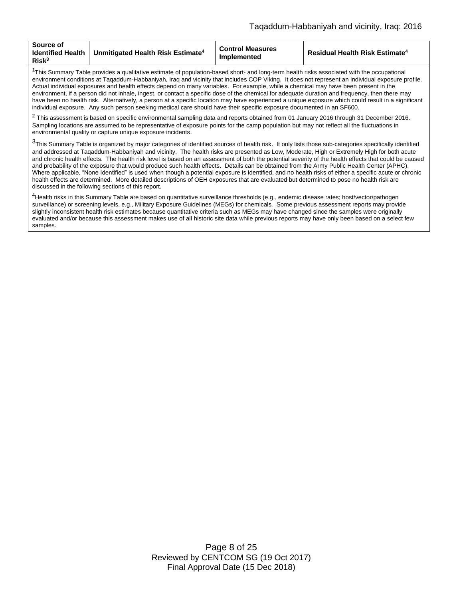| Source of<br><b>Identified Health</b><br>Risk <sup>3</sup> | Unmitigated Health Risk Estimate <sup>4</sup> | <b>Control Measures</b><br>Implemented | <b>Residual Health Risk Estimate<sup>4</sup></b> |
|------------------------------------------------------------|-----------------------------------------------|----------------------------------------|--------------------------------------------------|
|------------------------------------------------------------|-----------------------------------------------|----------------------------------------|--------------------------------------------------|

 $1$ This Summary Table provides a qualitative estimate of population-based short- and long-term health risks associated with the occupational environment conditions at Taqaddum-Habbaniyah, Iraq and vicinity that includes COP Viking. It does not represent an individual exposure profile. Actual individual exposures and health effects depend on many variables. For example, while a chemical may have been present in the environment, if a person did not inhale, ingest, or contact a specific dose of the chemical for adequate duration and frequency, then there may have been no health risk. Alternatively, a person at a specific location may have experienced a unique exposure which could result in a significant individual exposure. Any such person seeking medical care should have their specific exposure documented in an SF600.

 $^2$  This assessment is based on specific environmental sampling data and reports obtained from 01 January 2016 through 31 December 2016. Sampling locations are assumed to be representative of exposure points for the camp population but may not reflect all the fluctuations in environmental quality or capture unique exposure incidents.

<sup>3</sup>This Summary Table is organized by major categories of identified sources of health risk. It only lists those sub-categories specifically identified and addressed at Taqaddum-Habbaniyah and vicinity. The health risks are presented as Low, Moderate, High or Extremely High for both acute and chronic health effects. The health risk level is based on an assessment of both the potential severity of the health effects that could be caused and probability of the exposure that would produce such health effects. Details can be obtained from the Army Public Health Center (APHC). Where applicable, "None Identified" is used when though a potential exposure is identified, and no health risks of either a specific acute or chronic health effects are determined. More detailed descriptions of OEH exposures that are evaluated but determined to pose no health risk are discussed in the following sections of this report.

<sup>4</sup>Health risks in this Summary Table are based on quantitative surveillance thresholds (e.g., endemic disease rates; host/vector/pathogen surveillance) or screening levels, e.g., Military Exposure Guidelines (MEGs) for chemicals*.* Some previous assessment reports may provide slightly inconsistent health risk estimates because quantitative criteria such as MEGs may have changed since the samples were originally evaluated and/or because this assessment makes use of all historic site data while previous reports may have only been based on a select few samples.

> Page 8 of 25 Reviewed by CENTCOM SG (19 Oct 2017) Final Approval Date (15 Dec 2018)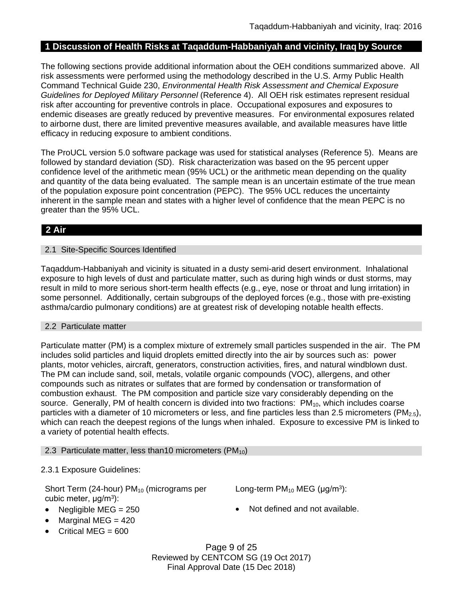# **1 Discussion of Health Risks at Taqaddum-Habbaniyah and vicinity, Iraq by Source**

The following sections provide additional information about the OEH conditions summarized above. All risk assessments were performed using the methodology described in the U.S. Army Public Health Command Technical Guide 230, *Environmental Health Risk Assessment and Chemical Exposure Guidelines for Deployed Military Personnel* (Reference 4). All OEH risk estimates represent residual risk after accounting for preventive controls in place. Occupational exposures and exposures to endemic diseases are greatly reduced by preventive measures. For environmental exposures related to airborne dust, there are limited preventive measures available, and available measures have little efficacy in reducing exposure to ambient conditions.

The ProUCL version 5.0 software package was used for statistical analyses (Reference 5). Means are followed by standard deviation (SD). Risk characterization was based on the 95 percent upper confidence level of the arithmetic mean (95% UCL) or the arithmetic mean depending on the quality and quantity of the data being evaluated. The sample mean is an uncertain estimate of the true mean of the population exposure point concentration (PEPC). The 95% UCL reduces the uncertainty inherent in the sample mean and states with a higher level of confidence that the mean PEPC is no greater than the 95% UCL.

# **2 Air**

## 2.1 Site-Specific Sources Identified

Taqaddum-Habbaniyah and vicinity is situated in a dusty semi-arid desert environment. Inhalational exposure to high levels of dust and particulate matter, such as during high winds or dust storms, may result in mild to more serious short-term health effects (e.g., eye, nose or throat and lung irritation) in some personnel. Additionally, certain subgroups of the deployed forces (e.g., those with pre-existing asthma/cardio pulmonary conditions) are at greatest risk of developing notable health effects.

## 2.2 Particulate matter

Particulate matter (PM) is a complex mixture of extremely small particles suspended in the air. The PM includes solid particles and liquid droplets emitted directly into the air by sources such as: power plants, motor vehicles, aircraft, generators, construction activities, fires, and natural windblown dust. The PM can include sand, soil, metals, volatile organic compounds (VOC), allergens, and other compounds such as nitrates or sulfates that are formed by condensation or transformation of combustion exhaust. The PM composition and particle size vary considerably depending on the source. Generally, PM of health concern is divided into two fractions:  $PM_{10}$ , which includes coarse particles with a diameter of 10 micrometers or less, and fine particles less than 2.5 micrometers ( $PM_{2.5}$ ), which can reach the deepest regions of the lungs when inhaled. Exposure to excessive PM is linked to a variety of potential health effects.

## 2.3 Particulate matter, less than 10 micrometers ( $PM_{10}$ )

## 2.3.1 Exposure Guidelines:

Short Term (24-hour)  $PM_{10}$  (micrograms per cubic meter, μg/m<sup>3</sup>):

- 
- $\bullet$  Marginal MEG = 420
- Critical MEG =  $600$

Long-term  $PM_{10}$  MEG ( $\mu$ g/m<sup>3</sup>):

• Negligible MEG = 250 **a** Not defined and not available.

Page 9 of 25 Reviewed by CENTCOM SG (19 Oct 2017) Final Approval Date (15 Dec 2018)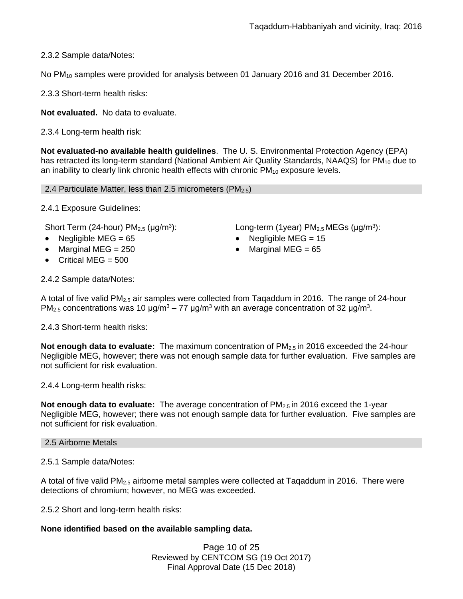2.3.2 Sample data/Notes:

No PM<sub>10</sub> samples were provided for analysis between 01 January 2016 and 31 December 2016.

2.3.3 Short-term health risks:

**Not evaluated.** No data to evaluate.

2.3.4 Long-term health risk:

**Not evaluated-no available health guidelines**. The U. S. Environmental Protection Agency (EPA) has retracted its long-term standard (National Ambient Air Quality Standards, NAAQS) for  $PM_{10}$  due to an inability to clearly link chronic health effects with chronic  $PM_{10}$  exposure levels.

2.4 Particulate Matter, less than 2.5 micrometers ( $PM<sub>2.5</sub>$ )

2.4.1 Exposure Guidelines:

Short Term (24-hour)  $PM_{2.5}$  ( $\mu$ g/m<sup>3</sup>):

- Negligible MEG = 65 Negligible MEG = 15
- Marginal MEG = 250 **CONFIDENT** Marginal MEG = 65
- Critical MEG =  $500$

): Long-term (1year)  $PM_{2.5}$ MEGs ( $\mu$ g/m<sup>3</sup>):

- 
- 

2.4.2 Sample data/Notes:

A total of five valid PM<sub>2.5</sub> air samples were collected from Taqaddum in 2016. The range of 24-hour PM<sub>2.5</sub> concentrations was 10  $\mu$ g/m<sup>3</sup> – 77  $\mu$ g/m<sup>3</sup> with an average concentration of 32  $\mu$ g/m<sup>3</sup>.

2.4.3 Short-term health risks:

**Not enough data to evaluate:** The maximum concentration of PM<sub>2.5</sub> in 2016 exceeded the 24-hour Negligible MEG, however; there was not enough sample data for further evaluation. Five samples are not sufficient for risk evaluation.

2.4.4 Long-term health risks:

**Not enough data to evaluate:** The average concentration of PM<sub>2.5</sub> in 2016 exceed the 1-year Negligible MEG, however; there was not enough sample data for further evaluation. Five samples are not sufficient for risk evaluation.

### 2.5 Airborne Metals

2.5.1 Sample data/Notes:

A total of five valid  $PM<sub>2.5</sub>$  airborne metal samples were collected at Taqaddum in 2016. There were detections of chromium; however, no MEG was exceeded.

2.5.2 Short and long-term health risks:

## **None identified based on the available sampling data.**

Page 10 of 25 Reviewed by CENTCOM SG (19 Oct 2017) Final Approval Date (15 Dec 2018)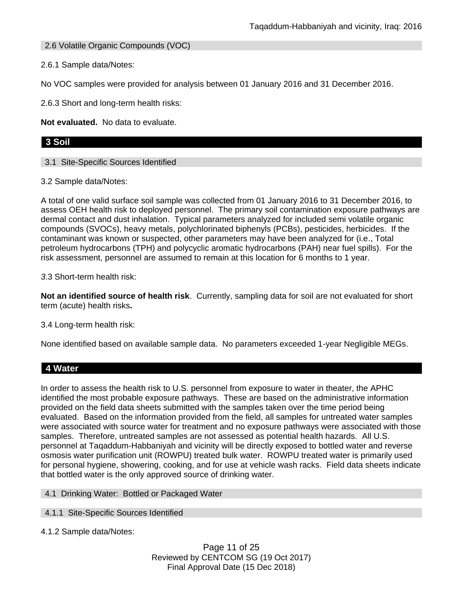2.6 Volatile Organic Compounds (VOC)

2.6.1 Sample data/Notes:

No VOC samples were provided for analysis between 01 January 2016 and 31 December 2016.

2.6.3 Short and long-term health risks:

**Not evaluated.** No data to evaluate.

# **3 Soil**

3.1 Site-Specific Sources Identified

3.2 Sample data/Notes:

A total of one valid surface soil sample was collected from 01 January 2016 to 31 December 2016, to assess OEH health risk to deployed personnel. The primary soil contamination exposure pathways are dermal contact and dust inhalation. Typical parameters analyzed for included semi volatile organic compounds (SVOCs), heavy metals, polychlorinated biphenyls (PCBs), pesticides, herbicides. If the contaminant was known or suspected, other parameters may have been analyzed for (i.e., Total petroleum hydrocarbons (TPH) and polycyclic aromatic hydrocarbons (PAH) near fuel spills). For the risk assessment, personnel are assumed to remain at this location for 6 months to 1 year.

*3*.3 Short-term health risk:

**Not an identified source of health risk**. Currently, sampling data for soil are not evaluated for short term (acute) health risks**.**

3.4 Long-term health risk:

None identified based on available sample data. No parameters exceeded 1-year Negligible MEGs.

# **4 Water**

In order to assess the health risk to U.S. personnel from exposure to water in theater, the APHC identified the most probable exposure pathways. These are based on the administrative information provided on the field data sheets submitted with the samples taken over the time period being evaluated. Based on the information provided from the field, all samples for untreated water samples were associated with source water for treatment and no exposure pathways were associated with those samples. Therefore, untreated samples are not assessed as potential health hazards. All U.S. personnel at Taqaddum-Habbaniyah and vicinity will be directly exposed to bottled water and reverse osmosis water purification unit (ROWPU) treated bulk water. ROWPU treated water is primarily used for personal hygiene, showering, cooking, and for use at vehicle wash racks. Field data sheets indicate that bottled water is the only approved source of drinking water.

4.1 Drinking Water: Bottled or Packaged Water

4.1.1 Site-Specific Sources Identified

4.1.2 Sample data/Notes:

Page 11 of 25 Reviewed by CENTCOM SG (19 Oct 2017) Final Approval Date (15 Dec 2018)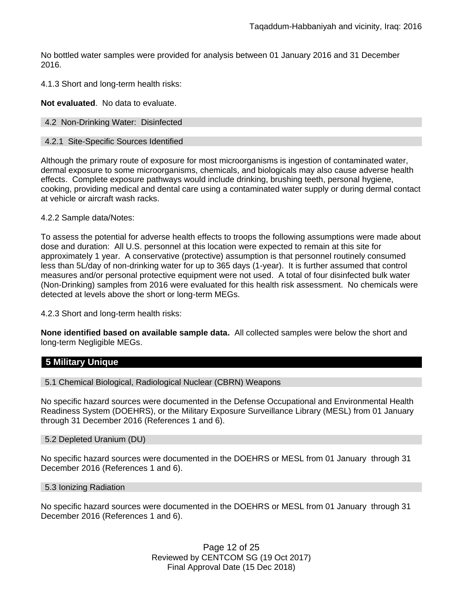No bottled water samples were provided for analysis between 01 January 2016 and 31 December 2016.

4.1.3 Short and long-term health risks:

**Not evaluated**. No data to evaluate.

### 4.2 Non-Drinking Water: Disinfected

### 4.2.1 Site-Specific Sources Identified

Although the primary route of exposure for most microorganisms is ingestion of contaminated water, dermal exposure to some microorganisms, chemicals, and biologicals may also cause adverse health effects. Complete exposure pathways would include drinking, brushing teeth, personal hygiene, cooking, providing medical and dental care using a contaminated water supply or during dermal contact at vehicle or aircraft wash racks.

### 4.2.2 Sample data/Notes:

To assess the potential for adverse health effects to troops the following assumptions were made about dose and duration: All U.S. personnel at this location were expected to remain at this site for approximately 1 year. A conservative (protective) assumption is that personnel routinely consumed less than 5L/day of non-drinking water for up to 365 days (1-year). It is further assumed that control measures and/or personal protective equipment were not used. A total of four disinfected bulk water (Non-Drinking) samples from 2016 were evaluated for this health risk assessment. No chemicals were detected at levels above the short or long-term MEGs.

4.2.3 Short and long-term health risks:

**None identified based on available sample data.** All collected samples were below the short and long-term Negligible MEGs.

# **5 Military Unique**

5.1 Chemical Biological, Radiological Nuclear (CBRN) Weapons

No specific hazard sources were documented in the Defense Occupational and Environmental Health Readiness System (DOEHRS), or the Military Exposure Surveillance Library (MESL) from 01 January through 31 December 2016 (References 1 and 6).

### 5.2 Depleted Uranium (DU)

No specific hazard sources were documented in the DOEHRS or MESL from 01 January through 31 December 2016 (References 1 and 6).

#### 5.3 Ionizing Radiation

No specific hazard sources were documented in the DOEHRS or MESL from 01 January through 31 December 2016 (References 1 and 6).

> Page 12 of 25 Reviewed by CENTCOM SG (19 Oct 2017) Final Approval Date (15 Dec 2018)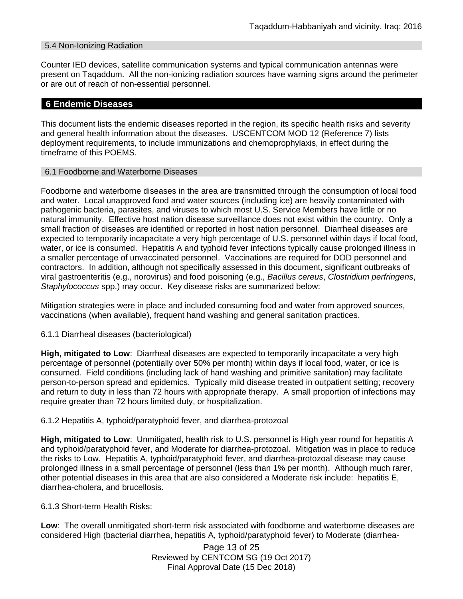### 5.4 Non-Ionizing Radiation

Counter IED devices, satellite communication systems and typical communication antennas were present on Taqaddum. All the non-ionizing radiation sources have warning signs around the perimeter or are out of reach of non-essential personnel.

## **6 Endemic Diseases**

This document lists the endemic diseases reported in the region, its specific health risks and severity and general health information about the diseases. USCENTCOM MOD 12 (Reference 7) lists deployment requirements, to include immunizations and chemoprophylaxis, in effect during the timeframe of this POEMS.

### 6.1 Foodborne and Waterborne Diseases

Foodborne and waterborne diseases in the area are transmitted through the consumption of local food and water. Local unapproved food and water sources (including ice) are heavily contaminated with pathogenic bacteria, parasites, and viruses to which most U.S. Service Members have little or no natural immunity. Effective host nation disease surveillance does not exist within the country. Only a small fraction of diseases are identified or reported in host nation personnel. Diarrheal diseases are expected to temporarily incapacitate a very high percentage of U.S. personnel within days if local food, water, or ice is consumed. Hepatitis A and typhoid fever infections typically cause prolonged illness in a smaller percentage of unvaccinated personnel. Vaccinations are required for DOD personnel and contractors. In addition, although not specifically assessed in this document, significant outbreaks of viral gastroenteritis (e.g., norovirus) and food poisoning (e.g., *Bacillus cereus*, *Clostridium perfringens*, *Staphylococcus* spp.) may occur. Key disease risks are summarized below:

Mitigation strategies were in place and included consuming food and water from approved sources, vaccinations (when available), frequent hand washing and general sanitation practices.

### 6.1.1 Diarrheal diseases (bacteriological)

**High, mitigated to Low**: Diarrheal diseases are expected to temporarily incapacitate a very high percentage of personnel (potentially over 50% per month) within days if local food, water, or ice is consumed. Field conditions (including lack of hand washing and primitive sanitation) may facilitate person-to-person spread and epidemics. Typically mild disease treated in outpatient setting; recovery and return to duty in less than 72 hours with appropriate therapy. A small proportion of infections may require greater than 72 hours limited duty, or hospitalization.

### 6.1.2 Hepatitis A, typhoid/paratyphoid fever, and diarrhea-protozoal

**High, mitigated to Low**: Unmitigated, health risk to U.S. personnel is High year round for hepatitis A and typhoid/paratyphoid fever, and Moderate for diarrhea-protozoal. Mitigation was in place to reduce the risks to Low. Hepatitis A, typhoid/paratyphoid fever, and diarrhea-protozoal disease may cause prolonged illness in a small percentage of personnel (less than 1% per month). Although much rarer, other potential diseases in this area that are also considered a Moderate risk include: hepatitis E, diarrhea-cholera, and brucellosis.

6.1.3 Short-term Health Risks:

**Low**: The overall unmitigated short-term risk associated with foodborne and waterborne diseases are considered High (bacterial diarrhea, hepatitis A, typhoid/paratyphoid fever) to Moderate (diarrhea-

> Page 13 of 25 Reviewed by CENTCOM SG (19 Oct 2017) Final Approval Date (15 Dec 2018)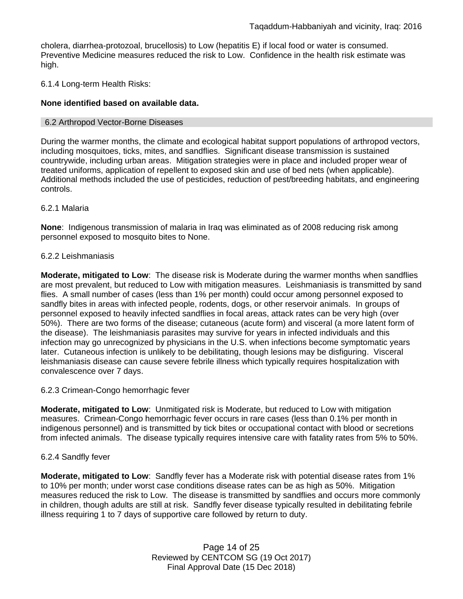cholera, diarrhea-protozoal, brucellosis) to Low (hepatitis E) if local food or water is consumed. Preventive Medicine measures reduced the risk to Low. Confidence in the health risk estimate was high.

### 6.1.4 Long-term Health Risks:

### **None identified based on available data.**

#### 6.2 Arthropod Vector-Borne Diseases

During the warmer months, the climate and ecological habitat support populations of arthropod vectors, including mosquitoes, ticks, mites, and sandflies. Significant disease transmission is sustained countrywide, including urban areas. Mitigation strategies were in place and included proper wear of treated uniforms, application of repellent to exposed skin and use of bed nets (when applicable). Additional methods included the use of pesticides, reduction of pest/breeding habitats, and engineering controls.

### 6.2.1 Malaria

**None**: Indigenous transmission of malaria in Iraq was eliminated as of 2008 reducing risk among personnel exposed to mosquito bites to None.

#### 6.2.2 Leishmaniasis

**Moderate, mitigated to Low**: The disease risk is Moderate during the warmer months when sandflies are most prevalent, but reduced to Low with mitigation measures. Leishmaniasis is transmitted by sand flies. A small number of cases (less than 1% per month) could occur among personnel exposed to sandfly bites in areas with infected people, rodents, dogs, or other reservoir animals. In groups of personnel exposed to heavily infected sandflies in focal areas, attack rates can be very high (over 50%). There are two forms of the disease; cutaneous (acute form) and visceral (a more latent form of the disease). The leishmaniasis parasites may survive for years in infected individuals and this infection may go unrecognized by physicians in the U.S. when infections become symptomatic years later. Cutaneous infection is unlikely to be debilitating, though lesions may be disfiguring. Visceral leishmaniasis disease can cause severe febrile illness which typically requires hospitalization with convalescence over 7 days.

### 6.2.3 Crimean-Congo hemorrhagic fever

**Moderate, mitigated to Low**: Unmitigated risk is Moderate, but reduced to Low with mitigation measures. Crimean-Congo hemorrhagic fever occurs in rare cases (less than 0.1% per month in indigenous personnel) and is transmitted by tick bites or occupational contact with blood or secretions from infected animals. The disease typically requires intensive care with fatality rates from 5% to 50%.

### 6.2.4 Sandfly fever

**Moderate, mitigated to Low**: Sandfly fever has a Moderate risk with potential disease rates from 1% to 10% per month; under worst case conditions disease rates can be as high as 50%. Mitigation measures reduced the risk to Low. The disease is transmitted by sandflies and occurs more commonly in children, though adults are still at risk. Sandfly fever disease typically resulted in debilitating febrile illness requiring 1 to 7 days of supportive care followed by return to duty.

> Page 14 of 25 Reviewed by CENTCOM SG (19 Oct 2017) Final Approval Date (15 Dec 2018)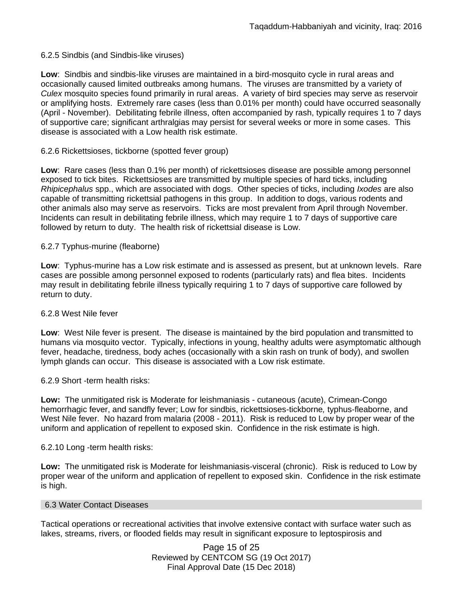### 6.2.5 Sindbis (and Sindbis-like viruses)

**Low**: Sindbis and sindbis-like viruses are maintained in a bird-mosquito cycle in rural areas and occasionally caused limited outbreaks among humans. The viruses are transmitted by a variety of *Culex* mosquito species found primarily in rural areas. A variety of bird species may serve as reservoir or amplifying hosts. Extremely rare cases (less than 0.01% per month) could have occurred seasonally (April - November). Debilitating febrile illness, often accompanied by rash, typically requires 1 to 7 days of supportive care; significant arthralgias may persist for several weeks or more in some cases. This disease is associated with a Low health risk estimate.

### 6.2.6 Rickettsioses, tickborne (spotted fever group)

**Low**: Rare cases (less than 0.1% per month) of rickettsioses disease are possible among personnel exposed to tick bites. Rickettsioses are transmitted by multiple species of hard ticks, including *Rhipicephalus* spp., which are associated with dogs. Other species of ticks, including *Ixodes* are also capable of transmitting rickettsial pathogens in this group. In addition to dogs, various rodents and other animals also may serve as reservoirs. Ticks are most prevalent from April through November. Incidents can result in debilitating febrile illness, which may require 1 to 7 days of supportive care followed by return to duty. The health risk of rickettsial disease is Low.

### 6.2.7 Typhus-murine (fleaborne)

**Low**: Typhus-murine has a Low risk estimate and is assessed as present, but at unknown levels. Rare cases are possible among personnel exposed to rodents (particularly rats) and flea bites. Incidents may result in debilitating febrile illness typically requiring 1 to 7 days of supportive care followed by return to duty.

### 6.2.8 West Nile fever

**Low**: West Nile fever is present. The disease is maintained by the bird population and transmitted to humans via mosquito vector. Typically, infections in young, healthy adults were asymptomatic although fever, headache, tiredness, body aches (occasionally with a skin rash on trunk of body), and swollen lymph glands can occur. This disease is associated with a Low risk estimate.

6.2.9 Short -term health risks:

**Low:** The unmitigated risk is Moderate for leishmaniasis - cutaneous (acute), Crimean-Congo hemorrhagic fever, and sandfly fever; Low for sindbis, rickettsioses-tickborne*,* typhus-fleaborne, and West Nile fever. No hazard from malaria (2008 - 2011). Risk is reduced to Low by proper wear of the uniform and application of repellent to exposed skin. Confidence in the risk estimate is high.

### 6.2.10 Long -term health risks:

**Low:** The unmitigated risk is Moderate for leishmaniasis-visceral (chronic). Risk is reduced to Low by proper wear of the uniform and application of repellent to exposed skin. Confidence in the risk estimate is high.

### 6.3 Water Contact Diseases

Tactical operations or recreational activities that involve extensive contact with surface water such as lakes, streams, rivers, or flooded fields may result in significant exposure to leptospirosis and

> Page 15 of 25 Reviewed by CENTCOM SG (19 Oct 2017) Final Approval Date (15 Dec 2018)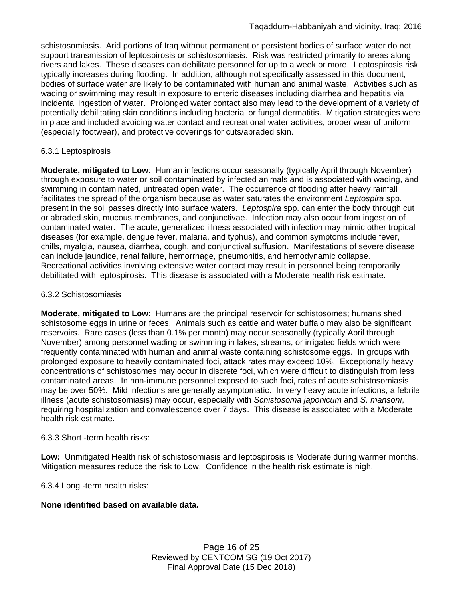schistosomiasis. Arid portions of Iraq without permanent or persistent bodies of surface water do not support transmission of leptospirosis or schistosomiasis. Risk was restricted primarily to areas along rivers and lakes. These diseases can debilitate personnel for up to a week or more. Leptospirosis risk typically increases during flooding. In addition, although not specifically assessed in this document, bodies of surface water are likely to be contaminated with human and animal waste. Activities such as wading or swimming may result in exposure to enteric diseases including diarrhea and hepatitis via incidental ingestion of water. Prolonged water contact also may lead to the development of a variety of potentially debilitating skin conditions including bacterial or fungal dermatitis. Mitigation strategies were in place and included avoiding water contact and recreational water activities, proper wear of uniform (especially footwear), and protective coverings for cuts/abraded skin.

### 6.3.1 Leptospirosis

**Moderate, mitigated to Low**: Human infections occur seasonally (typically April through November) through exposure to water or soil contaminated by infected animals and is associated with wading, and swimming in contaminated, untreated open water. The occurrence of flooding after heavy rainfall facilitates the spread of the organism because as water saturates the environment *Leptospira* spp. present in the soil passes directly into surface waters. *Leptospira* spp. can enter the body through cut or abraded skin, mucous membranes, and conjunctivae. Infection may also occur from ingestion of contaminated water. The acute, generalized illness associated with infection may mimic other tropical diseases (for example, dengue fever, malaria, and typhus), and common symptoms include fever, chills, myalgia, nausea, diarrhea, cough, and conjunctival suffusion. Manifestations of severe disease can include jaundice, renal failure, hemorrhage, pneumonitis, and hemodynamic collapse. Recreational activities involving extensive water contact may result in personnel being temporarily debilitated with leptospirosis. This disease is associated with a Moderate health risk estimate.

### 6.3.2 Schistosomiasis

**Moderate, mitigated to Low**: Humans are the principal reservoir for schistosomes; humans shed schistosome eggs in urine or feces. Animals such as cattle and water buffalo may also be significant reservoirs. Rare cases (less than 0.1% per month) may occur seasonally (typically April through November) among personnel wading or swimming in lakes, streams, or irrigated fields which were frequently contaminated with human and animal waste containing schistosome eggs. In groups with prolonged exposure to heavily contaminated foci, attack rates may exceed 10%. Exceptionally heavy concentrations of schistosomes may occur in discrete foci, which were difficult to distinguish from less contaminated areas. In non-immune personnel exposed to such foci, rates of acute schistosomiasis may be over 50%. Mild infections are generally asymptomatic. In very heavy acute infections, a febrile illness (acute schistosomiasis) may occur, especially with *Schistosoma japonicum* and *S. mansoni*, requiring hospitalization and convalescence over 7 days. This disease is associated with a Moderate health risk estimate.

### 6.3.3 Short -term health risks:

**Low:** Unmitigated Health risk of schistosomiasis and leptospirosis is Moderate during warmer months. Mitigation measures reduce the risk to Low. Confidence in the health risk estimate is high.

6.3.4 Long -term health risks:

## **None identified based on available data.**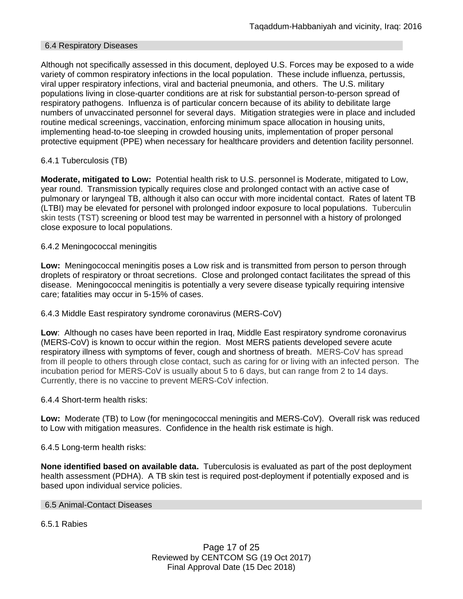### 6.4 Respiratory Diseases

Although not specifically assessed in this document, deployed U.S. Forces may be exposed to a wide variety of common respiratory infections in the local population. These include influenza, pertussis, viral upper respiratory infections, viral and bacterial pneumonia, and others. The U.S. military populations living in close-quarter conditions are at risk for substantial person-to-person spread of respiratory pathogens. Influenza is of particular concern because of its ability to debilitate large numbers of unvaccinated personnel for several days. Mitigation strategies were in place and included routine medical screenings, vaccination, enforcing minimum space allocation in housing units, implementing head-to-toe sleeping in crowded housing units, implementation of proper personal protective equipment (PPE) when necessary for healthcare providers and detention facility personnel.

## 6.4.1 Tuberculosis (TB)

**Moderate, mitigated to Low:** Potential health risk to U.S. personnel is Moderate, mitigated to Low, year round. Transmission typically requires close and prolonged contact with an active case of pulmonary or laryngeal TB, although it also can occur with more incidental contact. Rates of latent TB (LTBI) may be elevated for personel with prolonged indoor exposure to local populations. Tuberculin skin tests (TST) screening or blood test may be warrented in personnel with a history of prolonged close exposure to local populations.

### 6.4.2 Meningococcal meningitis

**Low:** Meningococcal meningitis poses a Low risk and is transmitted from person to person through droplets of respiratory or throat secretions. Close and prolonged contact facilitates the spread of this disease. Meningococcal meningitis is potentially a very severe disease typically requiring intensive care; fatalities may occur in 5-15% of cases.

### 6.4.3 Middle East respiratory syndrome coronavirus (MERS-CoV)

**Low**: Although no cases have been reported in Iraq, Middle East respiratory syndrome coronavirus (MERS-CoV) is known to occur within the region. Most MERS patients developed severe acute respiratory illness with symptoms of fever, cough and shortness of breath. MERS-CoV has spread from ill people to others through close contact, such as caring for or living with an infected person. The incubation period for MERS-CoV is usually about 5 to 6 days, but can range from 2 to 14 days. Currently, there is no vaccine to prevent MERS-CoV infection.

### 6.4.4 Short-term health risks:

**Low:** Moderate (TB) to Low (for meningococcal meningitis and MERS-CoV). Overall risk was reduced to Low with mitigation measures. Confidence in the health risk estimate is high.

### 6.4.5 Long-term health risks:

**None identified based on available data.** Tuberculosis is evaluated as part of the post deployment health assessment (PDHA). A TB skin test is required post-deployment if potentially exposed and is based upon individual service policies.

### 6.5 Animal-Contact Diseases

6.5.1 Rabies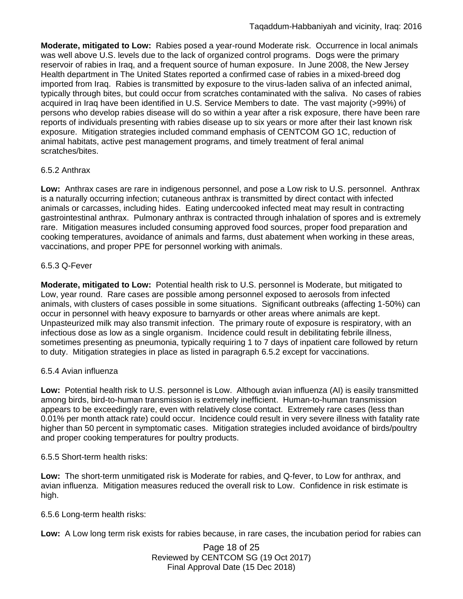**Moderate, mitigated to Low:** Rabies posed a year-round Moderate risk. Occurrence in local animals was well above U.S. levels due to the lack of organized control programs. Dogs were the primary reservoir of rabies in Iraq, and a frequent source of human exposure. In June 2008, the New Jersey Health department in The United States reported a confirmed case of rabies in a mixed-breed dog imported from Iraq. Rabies is transmitted by exposure to the virus-laden saliva of an infected animal, typically through bites, but could occur from scratches contaminated with the saliva. No cases of rabies acquired in Iraq have been identified in U.S. Service Members to date. The vast majority (>99%) of persons who develop rabies disease will do so within a year after a risk exposure, there have been rare reports of individuals presenting with rabies disease up to six years or more after their last known risk exposure. Mitigation strategies included command emphasis of CENTCOM GO 1C, reduction of animal habitats, active pest management programs, and timely treatment of feral animal scratches/bites.

# 6.5.2 Anthrax

**Low:** Anthrax cases are rare in indigenous personnel, and pose a Low risk to U.S. personnel. Anthrax is a naturally occurring infection; cutaneous anthrax is transmitted by direct contact with infected animals or carcasses, including hides. Eating undercooked infected meat may result in contracting gastrointestinal anthrax. Pulmonary anthrax is contracted through inhalation of spores and is extremely rare. Mitigation measures included consuming approved food sources, proper food preparation and cooking temperatures, avoidance of animals and farms, dust abatement when working in these areas, vaccinations, and proper PPE for personnel working with animals.

# 6.5.3 Q-Fever

**Moderate, mitigated to Low:** Potential health risk to U.S. personnel is Moderate, but mitigated to Low, year round. Rare cases are possible among personnel exposed to aerosols from infected animals, with clusters of cases possible in some situations. Significant outbreaks (affecting 1-50%) can occur in personnel with heavy exposure to barnyards or other areas where animals are kept. Unpasteurized milk may also transmit infection. The primary route of exposure is respiratory, with an infectious dose as low as a single organism. Incidence could result in debilitating febrile illness, sometimes presenting as pneumonia, typically requiring 1 to 7 days of inpatient care followed by return to duty. Mitigation strategies in place as listed in paragraph 6.5.2 except for vaccinations.

## 6.5.4 Avian influenza

**Low:** Potential health risk to U.S. personnel is Low. Although avian influenza (AI) is easily transmitted among birds, bird-to-human transmission is extremely inefficient. Human-to-human transmission appears to be exceedingly rare, even with relatively close contact. Extremely rare cases (less than 0.01% per month attack rate) could occur. Incidence could result in very severe illness with fatality rate higher than 50 percent in symptomatic cases. Mitigation strategies included avoidance of birds/poultry and proper cooking temperatures for poultry products.

## 6.5.5 Short-term health risks:

**Low:** The short-term unmitigated risk is Moderate for rabies, and Q-fever, to Low for anthrax, and avian influenza. Mitigation measures reduced the overall risk to Low. Confidence in risk estimate is high.

6.5.6 Long-term health risks:

**Low:** A Low long term risk exists for rabies because, in rare cases, the incubation period for rabies can

Page 18 of 25 Reviewed by CENTCOM SG (19 Oct 2017) Final Approval Date (15 Dec 2018)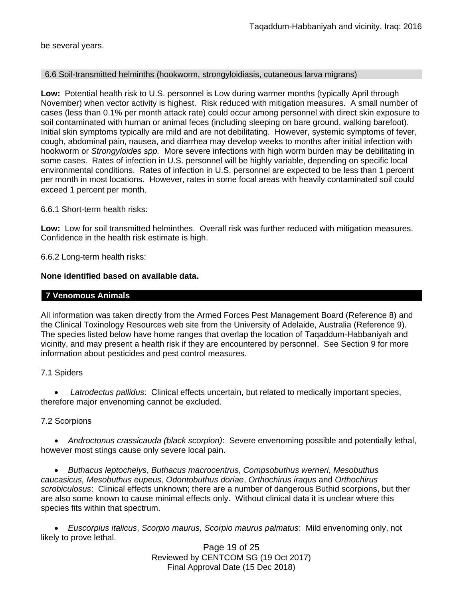be several years.

### 6.6 Soil-transmitted helminths (hookworm, strongyloidiasis, cutaneous larva migrans)

**Low:** Potential health risk to U.S. personnel is Low during warmer months (typically April through November) when vector activity is highest. Risk reduced with mitigation measures. A small number of cases (less than 0.1% per month attack rate) could occur among personnel with direct skin exposure to soil contaminated with human or animal feces (including sleeping on bare ground, walking barefoot). Initial skin symptoms typically are mild and are not debilitating. However, systemic symptoms of fever, cough, abdominal pain, nausea, and diarrhea may develop weeks to months after initial infection with hookworm or *Strongyloides spp.* More severe infections with high worm burden may be debilitating in some cases. Rates of infection in U.S. personnel will be highly variable, depending on specific local environmental conditions. Rates of infection in U.S. personnel are expected to be less than 1 percent per month in most locations. However, rates in some focal areas with heavily contaminated soil could exceed 1 percent per month.

6.6.1 Short-term health risks:

**Low:** Low for soil transmitted helminthes. Overall risk was further reduced with mitigation measures. Confidence in the health risk estimate is high.

6.6.2 Long-term health risks:

### **None identified based on available data.**

### **7 Venomous Animals**

All information was taken directly from the Armed Forces Pest Management Board (Reference 8) and the Clinical Toxinology Resources web site from the University of Adelaide, Australia (Reference 9). The species listed below have home ranges that overlap the location of Taqaddum-Habbaniyah and vicinity, and may present a health risk if they are encountered by personnel. See Section 9 for more information about pesticides and pest control measures.

7.1 Spiders

 *Latrodectus pallidus*: Clinical effects uncertain, but related to medically important species, therefore major envenoming cannot be excluded.

## 7.2 Scorpions

 *Androctonus crassicauda (black scorpion)*:Severe envenoming possible and potentially lethal, however most stings cause only severe local pain.

 *Buthacus leptochelys*, *Buthacus macrocentrus*, *Compsobuthus werneri, Mesobuthus caucasicus, Mesobuthus eupeus, Odontobuthus doriae*, *Orthochirus iraqus* and *Orthochirus scrobiculosus*: Clinical effects unknown; there are a number of dangerous Buthid scorpions, but ther are also some known to cause minimal effects only. Without clinical data it is unclear where this species fits within that spectrum.

 *Euscorpius italicus*, *Scorpio maurus, Scorpio maurus palmatus*: Mild envenoming only, not likely to prove lethal.

Page 19 of 25 Reviewed by CENTCOM SG (19 Oct 2017) Final Approval Date (15 Dec 2018)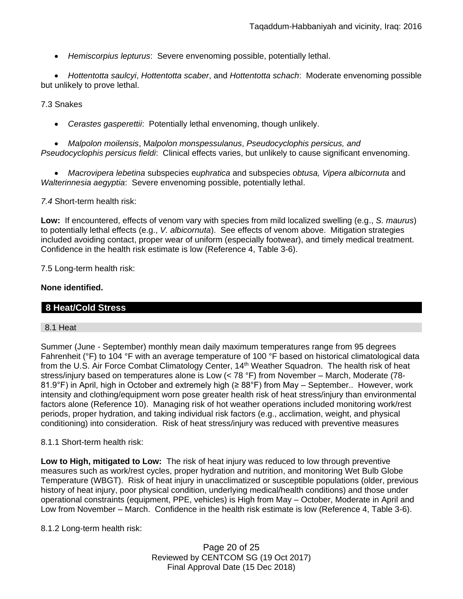*Hemiscorpius lepturus*: Severe envenoming possible, potentially lethal.

 *Hottentotta saulcyi*, *Hottentotta scaber*, and *Hottentotta schach*: Moderate envenoming possible but unlikely to prove lethal.

7.3 Snakes

*Cerastes gasperettii*: Potentially lethal envenoming, though unlikely.

 *Malpolon moilensis*, M*alpolon monspessulanus*, *Pseudocyclophis persicus, and Pseudocyclophis persicus fieldi*: Clinical effects varies, but unlikely to cause significant envenoming.

 *Macrovipera lebetina* subspecies e*uphratica* and subspecies *obtusa, Vipera albicornuta* and *Walterinnesia aegyptia*: Severe envenoming possible, potentially lethal.

*7.4* Short-term health risk:

**Low:** If encountered, effects of venom vary with species from mild localized swelling (e.g., *S. maurus*) to potentially lethal effects (e.g., *V. albicornuta*). See effects of venom above. Mitigation strategies included avoiding contact, proper wear of uniform (especially footwear), and timely medical treatment. Confidence in the health risk estimate is low (Reference 4, Table 3-6).

7.5 Long-term health risk:

### **None identified.**

# **8 Heat/Cold Stress**

### 8.1 Heat

Summer (June - September) monthly mean daily maximum temperatures range from 95 degrees Fahrenheit (°F) to 104 °F with an average temperature of 100 °F based on historical climatological data from the U.S. Air Force Combat Climatology Center, 14<sup>th</sup> Weather Squadron. The health risk of heat stress/injury based on temperatures alone is Low (< 78 °F) from November – March, Moderate (78- 81.9°F) in April, high in October and extremely high (≥ 88°F) from May – September.. However, work intensity and clothing/equipment worn pose greater health risk of heat stress/injury than environmental factors alone (Reference 10). Managing risk of hot weather operations included monitoring work/rest periods, proper hydration, and taking individual risk factors (e.g., acclimation, weight, and physical conditioning) into consideration. Risk of heat stress/injury was reduced with preventive measures

### 8.1.1 Short-term health risk:

**Low to High, mitigated to Low:** The risk of heat injury was reduced to low through preventive measures such as work/rest cycles, proper hydration and nutrition, and monitoring Wet Bulb Globe Temperature (WBGT). Risk of heat injury in unacclimatized or susceptible populations (older, previous history of heat injury, poor physical condition, underlying medical/health conditions) and those under operational constraints (equipment, PPE, vehicles) is High from May – October, Moderate in April and Low from November – March. Confidence in the health risk estimate is low (Reference 4, Table 3-6).

8.1.2 Long-term health risk:

Page 20 of 25 Reviewed by CENTCOM SG (19 Oct 2017) Final Approval Date (15 Dec 2018)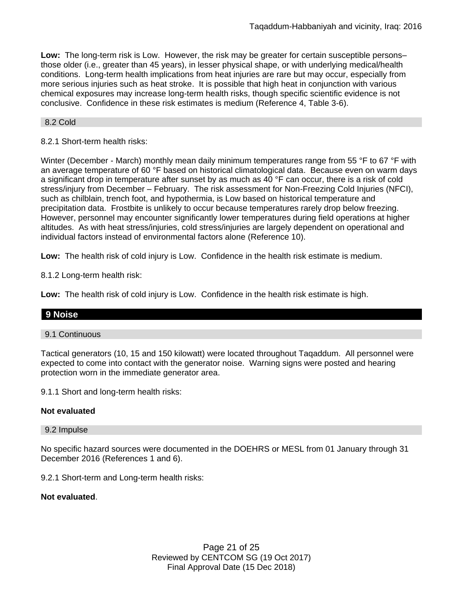**Low:** The long-term risk is Low. However, the risk may be greater for certain susceptible persons– those older (i.e., greater than 45 years), in lesser physical shape, or with underlying medical/health conditions. Long-term health implications from heat injuries are rare but may occur, especially from more serious injuries such as heat stroke. It is possible that high heat in conjunction with various chemical exposures may increase long-term health risks, though specific scientific evidence is not conclusive. Confidence in these risk estimates is medium (Reference 4, Table 3-6).

## 8.2 Cold

## 8.2.1 Short-term health risks:

Winter (December - March) monthly mean daily minimum temperatures range from 55 °F to 67 °F with an average temperature of 60 °F based on historical climatological data. Because even on warm days a significant drop in temperature after sunset by as much as 40 °F can occur, there is a risk of cold stress/injury from December – February. The risk assessment for Non-Freezing Cold Injuries (NFCI), such as chilblain, trench foot, and hypothermia, is Low based on historical temperature and precipitation data. Frostbite is unlikely to occur because temperatures rarely drop below freezing. However, personnel may encounter significantly lower temperatures during field operations at higher altitudes. As with heat stress/injuries, cold stress/injuries are largely dependent on operational and individual factors instead of environmental factors alone (Reference 10).

**Low:** The health risk of cold injury is Low. Confidence in the health risk estimate is medium.

8.1.2 Long-term health risk:

**Low:** The health risk of cold injury is Low. Confidence in the health risk estimate is high.

## **9 Noise**

### 9.1 Continuous

Tactical generators (10, 15 and 150 kilowatt) were located throughout Taqaddum. All personnel were expected to come into contact with the generator noise. Warning signs were posted and hearing protection worn in the immediate generator area.

9.1.1 Short and long-term health risks:

### **Not evaluated**

### 9.2 Impulse

No specific hazard sources were documented in the DOEHRS or MESL from 01 January through 31 December 2016 (References 1 and 6).

9.2.1 Short-term and Long-term health risks:

### **Not evaluated**.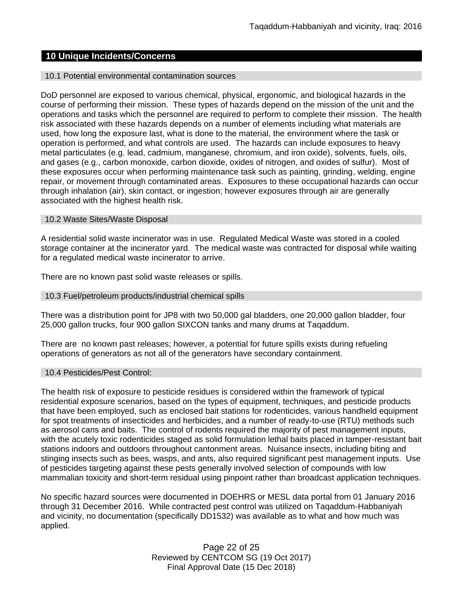## **10 Unique Incidents/Concerns**

### 10.1 Potential environmental contamination sources

DoD personnel are exposed to various chemical, physical, ergonomic, and biological hazards in the course of performing their mission. These types of hazards depend on the mission of the unit and the operations and tasks which the personnel are required to perform to complete their mission. The health risk associated with these hazards depends on a number of elements including what materials are used, how long the exposure last, what is done to the material, the environment where the task or operation is performed, and what controls are used. The hazards can include exposures to heavy metal particulates (e.g. lead, cadmium, manganese, chromium, and iron oxide), solvents, fuels, oils, and gases (e.g., carbon monoxide, carbon dioxide, oxides of nitrogen, and oxides of sulfur). Most of these exposures occur when performing maintenance task such as painting, grinding, welding, engine repair, or movement through contaminated areas. Exposures to these occupational hazards can occur through inhalation (air), skin contact, or ingestion; however exposures through air are generally associated with the highest health risk.

### 10.2 Waste Sites/Waste Disposal

A residential solid waste incinerator was in use. Regulated Medical Waste was stored in a cooled storage container at the incinerator yard. The medical waste was contracted for disposal while waiting for a regulated medical waste incinerator to arrive.

There are no known past solid waste releases or spills.

### 10.3 Fuel/petroleum products/industrial chemical spills

There was a distribution point for JP8 with two 50,000 gal bladders, one 20,000 gallon bladder, four 25,000 gallon trucks, four 900 gallon SIXCON tanks and many drums at Taqaddum.

There are no known past releases; however, a potential for future spills exists during refueling operations of generators as not all of the generators have secondary containment.

### 10.4 Pesticides/Pest Control:

The health risk of exposure to pesticide residues is considered within the framework of typical residential exposure scenarios, based on the types of equipment, techniques, and pesticide products that have been employed, such as enclosed bait stations for rodenticides, various handheld equipment for spot treatments of insecticides and herbicides, and a number of ready-to-use (RTU) methods such as aerosol cans and baits. The control of rodents required the majority of pest management inputs, with the acutely toxic rodenticides staged as solid formulation lethal baits placed in tamper-resistant bait stations indoors and outdoors throughout cantonment areas. Nuisance insects, including biting and stinging insects such as bees, wasps, and ants, also required significant pest management inputs. Use of pesticides targeting against these pests generally involved selection of compounds with low mammalian toxicity and short-term residual using pinpoint rather than broadcast application techniques.

No specific hazard sources were documented in DOEHRS or MESL data portal from 01 January 2016 through 31 December 2016. While contracted pest control was utilized on Taqaddum-Habbaniyah and vicinity, no documentation (specifically DD1532) was available as to what and how much was applied.

> Page 22 of 25 Reviewed by CENTCOM SG (19 Oct 2017) Final Approval Date (15 Dec 2018)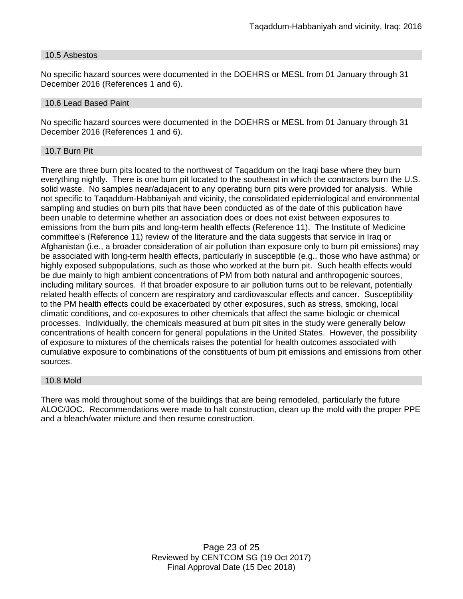#### 10.5 Asbestos

No specific hazard sources were documented in the DOEHRS or MESL from 01 January through 31 December 2016 (References 1 and 6).

#### 10.6 Lead Based Paint

No specific hazard sources were documented in the DOEHRS or MESL from 01 January through 31 December 2016 (References 1 and 6).

#### 10.7 Burn Pit

There are three burn pits located to the northwest of Taqaddum on the Iraqi base where they burn everything nightly. There is one burn pit located to the southeast in which the contractors burn the U.S. solid waste. No samples near/adajacent to any operating burn pits were provided for analysis. While not specific to Taqaddum-Habbaniyah and vicinity, the consolidated epidemiological and environmental sampling and studies on burn pits that have been conducted as of the date of this publication have been unable to determine whether an association does or does not exist between exposures to emissions from the burn pits and long-term health effects (Reference 11). The Institute of Medicine committee's (Reference 11) review of the literature and the data suggests that service in Iraq or Afghanistan (i.e., a broader consideration of air pollution than exposure only to burn pit emissions) may be associated with long-term health effects, particularly in susceptible (e.g., those who have asthma) or highly exposed subpopulations, such as those who worked at the burn pit. Such health effects would be due mainly to high ambient concentrations of PM from both natural and anthropogenic sources, including military sources. If that broader exposure to air pollution turns out to be relevant, potentially related health effects of concern are respiratory and cardiovascular effects and cancer. Susceptibility to the PM health effects could be exacerbated by other exposures, such as stress, smoking, local climatic conditions, and co-exposures to other chemicals that affect the same biologic or chemical processes. Individually, the chemicals measured at burn pit sites in the study were generally below concentrations of health concern for general populations in the United States. However, the possibility of exposure to mixtures of the chemicals raises the potential for health outcomes associated with cumulative exposure to combinations of the constituents of burn pit emissions and emissions from other sources.

### 10.8 Mold

There was mold throughout some of the buildings that are being remodeled, particularly the future ALOC/JOC. Recommendations were made to halt construction, clean up the mold with the proper PPE and a bleach/water mixture and then resume construction.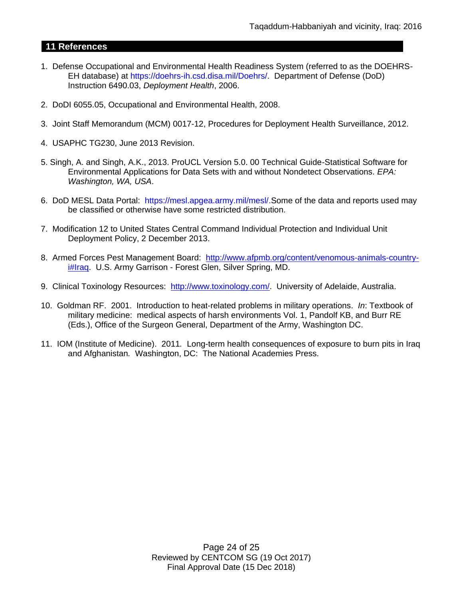# **11 References**

- 1. Defense Occupational and Environmental Health Readiness System (referred to as the DOEHRS-EH database) at https://doehrs-ih.csd.disa.mil/Doehrs/. Department of Defense (DoD) Instruction 6490.03, *Deployment Health*, 2006.
- 2. DoDI 6055.05, Occupational and Environmental Health, 2008.
- 3. Joint Staff Memorandum (MCM) 0017-12, Procedures for Deployment Health Surveillance, 2012.
- 4. USAPHC TG230, June 2013 Revision.
- 5. Singh, A. and Singh, A.K., 2013. ProUCL Version 5.0. 00 Technical Guide-Statistical Software for Environmental Applications for Data Sets with and without Nondetect Observations. *EPA: Washington, WA, USA*.
- 6. DoD MESL Data Portal: https://mesl.apgea.army.mil/mesl/.Some of the data and reports used may be classified or otherwise have some restricted distribution.
- 7. Modification 12 to United States Central Command Individual Protection and Individual Unit Deployment Policy, 2 December 2013.
- 8. Armed Forces Pest Management Board: [http://www.afpmb.org/content/venomous-animals-country](http://www.afpmb.org/content/venomous-animals-country-i#Iraq)[i#Iraq.](http://www.afpmb.org/content/venomous-animals-country-i#Iraq) U.S. Army Garrison - Forest Glen, Silver Spring, MD.
- 9. Clinical Toxinology Resources: [http://www.toxinology.com/.](http://www.toxinology.com/) University of Adelaide, Australia.
- 10. Goldman RF. 2001. Introduction to heat-related problems in military operations. *In*: Textbook of military medicine: medical aspects of harsh environments Vol. 1, Pandolf KB, and Burr RE (Eds.), Office of the Surgeon General, Department of the Army, Washington DC.
- 11. IOM (Institute of Medicine). 2011*.* Long-term health consequences of exposure to burn pits in Iraq and Afghanistan*.* Washington, DC: The National Academies Press.